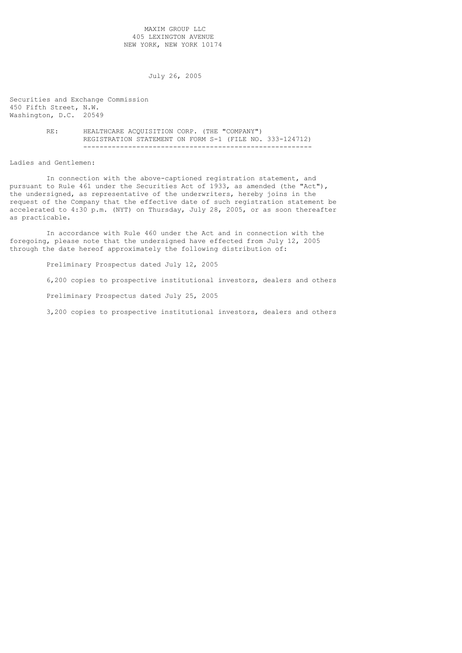## MAXIM GROUP LLC 405 LEXINGTON AVENUE NEW YORK, NEW YORK 10174

July 26, 2005

Securities and Exchange Commission 450 Fifth Street, N.W. Washington, D.C. 20549

> RE: HEALTHCARE ACQUISITION CORP. (THE "COMPANY") REGISTRATION STATEMENT ON FORM S-1 (FILE NO. 333-124712) --------------------------------------------------------

## Ladies and Gentlemen:

 In connection with the above-captioned registration statement, and pursuant to Rule 461 under the Securities Act of 1933, as amended (the "Act"), the undersigned, as representative of the underwriters, hereby joins in the request of the Company that the effective date of such registration statement be accelerated to 4:30 p.m. (NYT) on Thursday, July 28, 2005, or as soon thereafter as practicable.

 In accordance with Rule 460 under the Act and in connection with the foregoing, please note that the undersigned have effected from July 12, 2005 through the date hereof approximately the following distribution of:

 Preliminary Prospectus dated July 12, 2005 6,200 copies to prospective institutional investors, dealers and others Preliminary Prospectus dated July 25, 2005 3,200 copies to prospective institutional investors, dealers and others